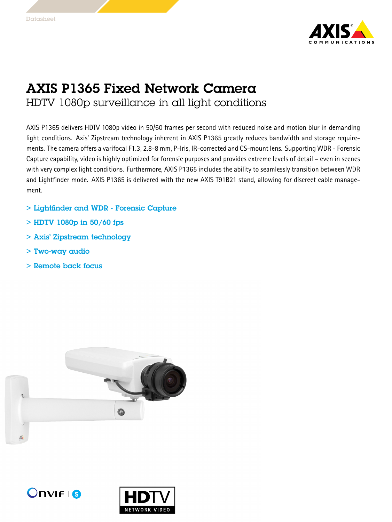

## AXIS P1365 Fixed Network Camera

HDTV 1080p surveillance in all light conditions

AXIS P1365 delivers HDTV 1080p video in 50/60 frames per second with reduced noise and motion blur in demanding light conditions. Axis' Zipstream technology inherent in AXIS P1365 greatly reduces bandwidth and storage requirements. The camera offers <sup>a</sup> varifocal F1.3, 2.8-8 mm, P-Iris, IR-corrected and CS-mount lens. Supporting WDR - Forensic Capture capability, video is highly optimized for forensic purposes and provides extreme levels of detail – even in scenes with very complex light conditions. Furthermore, AXIS P1365 includes the ability to seamlessly transition between WDR and Lightfinder mode. AXIS P1365 is delivered with the new AXIS T91B21 stand, allowing for discreet cable management.

- > Lightfinder and WDR Forensic Capture
- $>$  HDTV 1080p in 50/60 fps
- > Axis' Zipstream technology
- > Two-way audio
- > Remote back focus